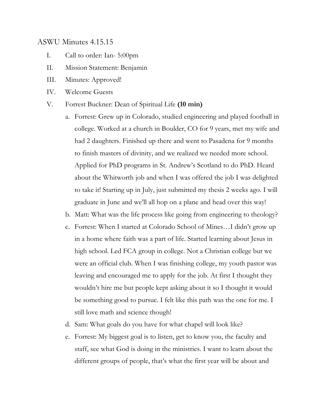# ASWU Minutes 4.15.15

- I. Call to order: Ian- 5:00pm
- II. Mission Statement: Benjamin
- III. Minutes: Approved!
- IV. Welcome Guests
- V. Forrest Buckner: Dean of Spiritual Life **(10 min)**
	- a. Forrest: Grew up in Colorado, studied engineering and played football in college. Worked at a church in Boulder, CO for 9 years, met my wife and had 2 daughters. Finished up there and went to Pasadena for 9 months to finish masters of divinity, and we realized we needed more school. Applied for PhD programs in St. Andrew's Scotland to do PhD. Heard about the Whitworth job and when I was offered the job I was delighted to take it! Starting up in July, just submitted my thesis 2 weeks ago. I will graduate in June and we'll all hop on a plane and head over this way!
	- b. Matt: What was the life process like going from engineering to theology?
	- c. Forrest: When I started at Colorado School of Mines…I didn't grow up in a home where faith was a part of life. Started learning about Jesus in high school. Led FCA group in college. Not a Christian college but we were an official club. When I was finishing college, my youth pastor was leaving and encouraged me to apply for the job. At first I thought they wouldn't hire me but people kept asking about it so I thought it would be something good to pursue. I felt like this path was the one for me. I still love math and science though!
	- d. Sam: What goals do you have for what chapel will look like?
	- e. Forrest: My biggest goal is to listen, get to know you, the faculty and staff, see what God is doing in the ministries. I want to learn about the different groups of people, that's what the first year will be about and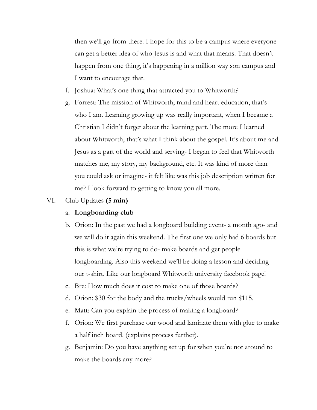then we'll go from there. I hope for this to be a campus where everyone can get a better idea of who Jesus is and what that means. That doesn't happen from one thing, it's happening in a million way son campus and I want to encourage that.

- f. Joshua: What's one thing that attracted you to Whitworth?
- g. Forrest: The mission of Whitworth, mind and heart education, that's who I am. Learning growing up was really important, when I became a Christian I didn't forget about the learning part. The more I learned about Whitworth, that's what I think about the gospel. It's about me and Jesus as a part of the world and serving- I began to feel that Whitworth matches me, my story, my background, etc. It was kind of more than you could ask or imagine- it felt like was this job description written for me? I look forward to getting to know you all more.
- VI. Club Updates **(5 min)**

#### a. **Longboarding club**

- b. Orion: In the past we had a longboard building event- a month ago- and we will do it again this weekend. The first one we only had 6 boards but this is what we're trying to do- make boards and get people longboarding. Also this weekend we'll be doing a lesson and deciding our t-shirt. Like our longboard Whitworth university facebook page!
- c. Bre: How much does it cost to make one of those boards?
- d. Orion: \$30 for the body and the trucks/wheels would run \$115.
- e. Matt: Can you explain the process of making a longboard?
- f. Orion: We first purchase our wood and laminate them with glue to make a half inch board. (explains process further).
- g. Benjamin: Do you have anything set up for when you're not around to make the boards any more?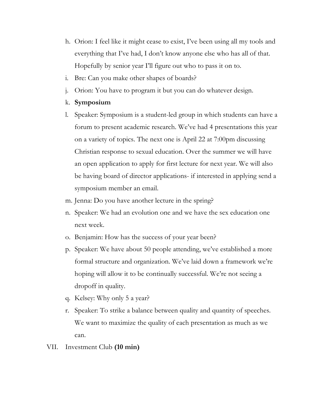- h. Orion: I feel like it might cease to exist, I've been using all my tools and everything that I've had, I don't know anyone else who has all of that. Hopefully by senior year I'll figure out who to pass it on to.
- i. Bre: Can you make other shapes of boards?
- j. Orion: You have to program it but you can do whatever design.
- k. **Symposium**
- l. Speaker: Symposium is a student-led group in which students can have a forum to present academic research. We've had 4 presentations this year on a variety of topics. The next one is April 22 at 7:00pm discussing Christian response to sexual education. Over the summer we will have an open application to apply for first lecture for next year. We will also be having board of director applications- if interested in applying send a symposium member an email.
- m. Jenna: Do you have another lecture in the spring?
- n. Speaker: We had an evolution one and we have the sex education one next week.
- o. Benjamin: How has the success of your year been?
- p. Speaker: We have about 50 people attending, we've established a more formal structure and organization. We've laid down a framework we're hoping will allow it to be continually successful. We're not seeing a dropoff in quality.
- q. Kelsey: Why only 5 a year?
- r. Speaker: To strike a balance between quality and quantity of speeches. We want to maximize the quality of each presentation as much as we can.
- VII. Investment Club **(10 min)**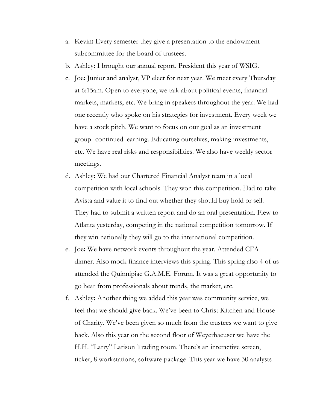- a. Kevin**:** Every semester they give a presentation to the endowment subcommittee for the board of trustees.
- b. Ashley**:** I brought our annual report. President this year of WSIG.
- c. Joe**:** Junior and analyst, VP elect for next year. We meet every Thursday at 6:15am. Open to everyone, we talk about political events, financial markets, markets, etc. We bring in speakers throughout the year. We had one recently who spoke on his strategies for investment. Every week we have a stock pitch. We want to focus on our goal as an investment group- continued learning. Educating ourselves, making investments, etc. We have real risks and responsibilities. We also have weekly sector meetings.
- d. Ashley**:** We had our Chartered Financial Analyst team in a local competition with local schools. They won this competition. Had to take Avista and value it to find out whether they should buy hold or sell. They had to submit a written report and do an oral presentation. Flew to Atlanta yesterday, competing in the national competition tomorrow. If they win nationally they will go to the international competition.
- e. Joe**:** We have network events throughout the year. Attended CFA dinner. Also mock finance interviews this spring. This spring also 4 of us attended the Quinnipiac G.A.M.E. Forum. It was a great opportunity to go hear from professionals about trends, the market, etc.
- f. Ashley**:** Another thing we added this year was community service, we feel that we should give back. We've been to Christ Kitchen and House of Charity. We've been given so much from the trustees we want to give back. Also this year on the second floor of Weyerhaeuser we have the H.H. "Larry" Larison Trading room. There's an interactive screen, ticker, 8 workstations, software package. This year we have 30 analysts-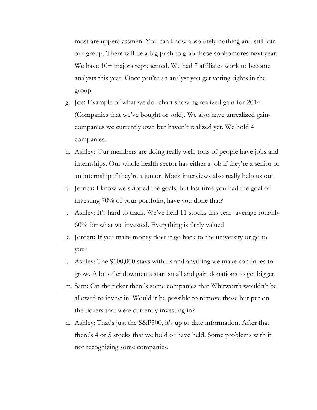most are upperclassmen. You can know absolutely nothing and still join our group. There will be a big push to grab those sophomores next year. We have 10+ majors represented. We had 7 affiliates work to become analysts this year. Once you're an analyst you get voting rights in the group.

- g. Joe**:** Example of what we do- chart showing realized gain for 2014. (Companies that we've bought or sold). We also have unrealized gaincompanies we currently own but haven't realized yet. We hold 4 companies.
- h. Ashley**:** Our members are doing really well, tons of people have jobs and internships. Our whole health sector has either a job if they're a senior or an internship if they're a junior. Mock interviews also really help us out.
- i. Jerrica**:** I know we skipped the goals, but last time you had the goal of investing 70% of your portfolio, have you done that?
- j. Ashley: It's hard to track. We've held 11 stocks this year- average roughly 60% for what we invested. Everything is fairly valued
- k. Jordan**:** If you make money does it go back to the university or go to you?
- l. Ashley: The \$100,000 stays with us and anything we make continues to grow. A lot of endowments start small and gain donations to get bigger.
- m. Sam**:** On the ticker there's some companies that Whitworth wouldn't be allowed to invest in. Would it be possible to remove those but put on the tickers that were currently investing in?
- n. Ashley: That's just the S&P500, it's up to date information. After that there's 4 or 5 stocks that we hold or have held. Some problems with it not recognizing some companies.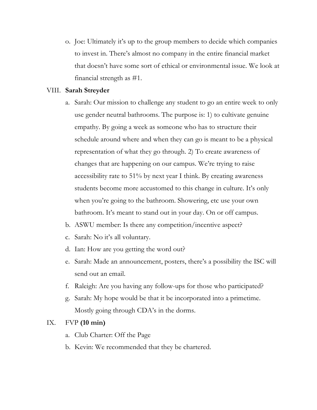o. Joe: Ultimately it's up to the group members to decide which companies to invest in. There's almost no company in the entire financial market that doesn't have some sort of ethical or environmental issue. We look at financial strength as #1.

### VIII. **Sarah Streyder**

- a. Sarah: Our mission to challenge any student to go an entire week to only use gender neutral bathrooms. The purpose is: 1) to cultivate genuine empathy. By going a week as someone who has to structure their schedule around where and when they can go is meant to be a physical representation of what they go through. 2) To create awareness of changes that are happening on our campus. We're trying to raise accessibility rate to 51% by next year I think. By creating awareness students become more accustomed to this change in culture. It's only when you're going to the bathroom. Showering, etc use your own bathroom. It's meant to stand out in your day. On or off campus.
- b. ASWU member: Is there any competition/incentive aspect?
- c. Sarah: No it's all voluntary.
- d. Ian: How are you getting the word out?
- e. Sarah: Made an announcement, posters, there's a possibility the ISC will send out an email.
- f. Raleigh: Are you having any follow-ups for those who participated?
- g. Sarah: My hope would be that it be incorporated into a primetime. Mostly going through CDA's in the dorms.

# IX. FVP **(10 min)**

- a. Club Charter: Off the Page
- b. Kevin: We recommended that they be chartered.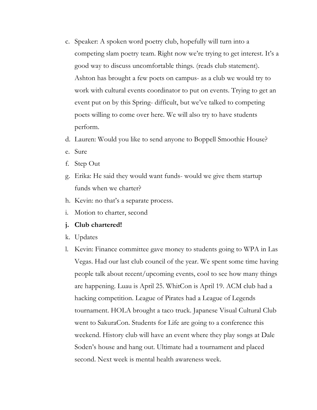- c. Speaker: A spoken word poetry club, hopefully will turn into a competing slam poetry team. Right now we're trying to get interest. It's a good way to discuss uncomfortable things. (reads club statement). Ashton has brought a few poets on campus- as a club we would try to work with cultural events coordinator to put on events. Trying to get an event put on by this Spring- difficult, but we've talked to competing poets willing to come over here. We will also try to have students perform.
- d. Lauren: Would you like to send anyone to Boppell Smoothie House?
- e. Sure
- f. Step Out
- g. Erika: He said they would want funds- would we give them startup funds when we charter?
- h. Kevin: no that's a separate process.
- i. Motion to charter, second
- **j. Club chartered!**
- k. Updates
- l. Kevin: Finance committee gave money to students going to WPA in Las Vegas. Had our last club council of the year. We spent some time having people talk about recent/upcoming events, cool to see how many things are happening. Luau is April 25. WhitCon is April 19. ACM club had a hacking competition. League of Pirates had a League of Legends tournament. HOLA brought a taco truck. Japanese Visual Cultural Club went to SakuraCon. Students for Life are going to a conference this weekend. History club will have an event where they play songs at Dale Soden's house and hang out. Ultimate had a tournament and placed second. Next week is mental health awareness week.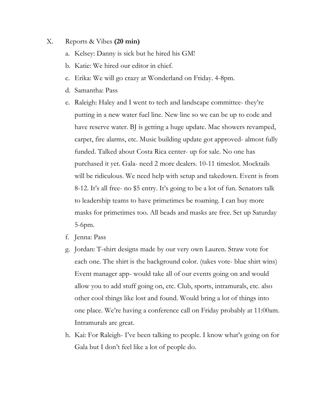#### X. Reports & Vibes **(20 min)**

- a. Kelsey: Danny is sick but he hired his GM!
- b. Katie: We hired our editor in chief.
- c. Erika: We will go crazy at Wonderland on Friday. 4-8pm.
- d. Samantha: Pass
- e. Raleigh: Haley and I went to tech and landscape committee- they're putting in a new water fuel line. New line so we can be up to code and have reserve water. BJ is getting a huge update. Mac showers revamped, carpet, fire alarms, etc. Music building update got approved- almost fully funded. Talked about Costa Rica center- up for sale. No one has purchased it yet. Gala- need 2 more dealers. 10-11 timeslot. Mocktails will be ridiculous. We need help with setup and takedown. Event is from 8-12. It's all free- no \$5 entry. It's going to be a lot of fun. Senators talk to leadership teams to have primetimes be roaming. I can buy more masks for primetimes too. All beads and masks are free. Set up Saturday 5-6pm.
- f. Jenna: Pass
- g. Jordan: T-shirt designs made by our very own Lauren. Straw vote for each one. The shirt is the background color. (takes vote- blue shirt wins) Event manager app- would take all of our events going on and would allow you to add stuff going on, etc. Club, sports, intramurals, etc. also other cool things like lost and found. Would bring a lot of things into one place. We're having a conference call on Friday probably at 11:00am. Intramurals are great.
- h. Kai: For Raleigh- I've been talking to people. I know what's going on for Gala but I don't feel like a lot of people do.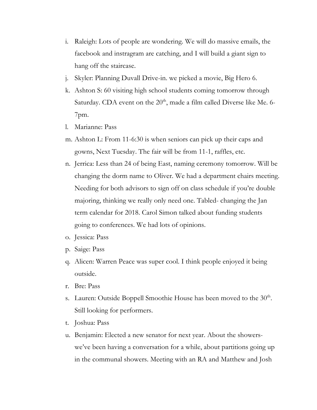- i. Raleigh: Lots of people are wondering. We will do massive emails, the facebook and instragram are catching, and I will build a giant sign to hang off the staircase.
- j. Skyler: Planning Duvall Drive-in. we picked a movie, Big Hero 6.
- k. Ashton S: 60 visiting high school students coming tomorrow through Saturday. CDA event on the  $20<sup>th</sup>$ , made a film called Diverse like Me. 6-7pm.
- l. Marianne: Pass
- m. Ashton L: From 11-6:30 is when seniors can pick up their caps and gowns, Next Tuesday. The fair will be from 11-1, raffles, etc.
- n. Jerrica: Less than 24 of being East, naming ceremony tomorrow. Will be changing the dorm name to Oliver. We had a department chairs meeting. Needing for both advisors to sign off on class schedule if you're double majoring, thinking we really only need one. Tabled- changing the Jan term calendar for 2018. Carol Simon talked about funding students going to conferences. We had lots of opinions.
- o. Jessica: Pass
- p. Saige: Pass
- q. Alicen: Warren Peace was super cool. I think people enjoyed it being outside.
- r. Bre: Pass
- s. Lauren: Outside Boppell Smoothie House has been moved to the  $30<sup>th</sup>$ . Still looking for performers.
- t. Joshua: Pass
- u. Benjamin: Elected a new senator for next year. About the showerswe've been having a conversation for a while, about partitions going up in the communal showers. Meeting with an RA and Matthew and Josh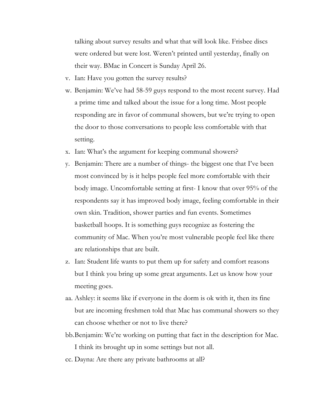talking about survey results and what that will look like. Frisbee discs were ordered but were lost. Weren't printed until yesterday, finally on their way. BMac in Concert is Sunday April 26.

- v. Ian: Have you gotten the survey results?
- w. Benjamin: We've had 58-59 guys respond to the most recent survey. Had a prime time and talked about the issue for a long time. Most people responding are in favor of communal showers, but we're trying to open the door to those conversations to people less comfortable with that setting.
- x. Ian: What's the argument for keeping communal showers?
- y. Benjamin: There are a number of things- the biggest one that I've been most convinced by is it helps people feel more comfortable with their body image. Uncomfortable setting at first- I know that over 95% of the respondents say it has improved body image, feeling comfortable in their own skin. Tradition, shower parties and fun events. Sometimes basketball hoops. It is something guys recognize as fostering the community of Mac. When you're most vulnerable people feel like there are relationships that are built.
- z. Ian: Student life wants to put them up for safety and comfort reasons but I think you bring up some great arguments. Let us know how your meeting goes.
- aa. Ashley: it seems like if everyone in the dorm is ok with it, then its fine but are incoming freshmen told that Mac has communal showers so they can choose whether or not to live there?
- bb.Benjamin: We're working on putting that fact in the description for Mac. I think its brought up in some settings but not all.
- cc. Dayna: Are there any private bathrooms at all?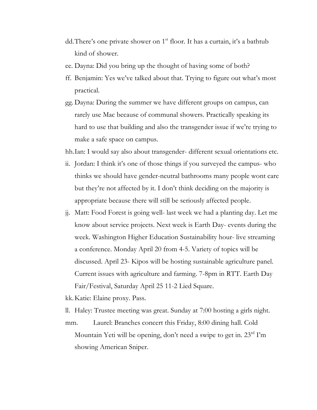- dd. There's one private shower on 1<sup>st</sup> floor. It has a curtain, it's a bathtub kind of shower.
- ee. Dayna: Did you bring up the thought of having some of both?
- ff. Benjamin: Yes we've talked about that. Trying to figure out what's most practical.
- gg. Dayna: During the summer we have different groups on campus, can rarely use Mac because of communal showers. Practically speaking its hard to use that building and also the transgender issue if we're trying to make a safe space on campus.
- hh.Ian: I would say also about transgender- different sexual orientations etc.
- ii. Jordan: I think it's one of those things if you surveyed the campus- who thinks we should have gender-neutral bathrooms many people wont care but they're not affected by it. I don't think deciding on the majority is appropriate because there will still be seriously affected people.
- jj. Matt: Food Forest is going well- last week we had a planting day. Let me know about service projects. Next week is Earth Day- events during the week. Washington Higher Education Sustainability hour- live streaming a conference. Monday April 20 from 4-5. Variety of topics will be discussed. April 23- Kipos will be hosting sustainable agriculture panel. Current issues with agriculture and farming. 7-8pm in RTT. Earth Day Fair/Festival, Saturday April 25 11-2 Lied Square.

kk.Katie: Elaine proxy. Pass.

ll. Haley: Trustee meeting was great. Sunday at 7:00 hosting a girls night. mm. Laurel: Branches concert this Friday, 8:00 dining hall. Cold Mountain Yeti will be opening, don't need a swipe to get in. 23<sup>rd</sup> I'm showing American Sniper.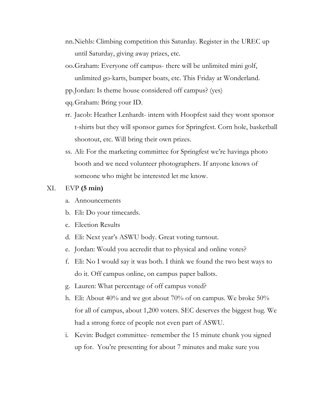- nn.Niehls: Climbing competition this Saturday. Register in the UREC up until Saturday, giving away prizes, etc.
- oo.Graham: Everyone off campus- there will be unlimited mini golf, unlimited go-karts, bumper boats, etc. This Friday at Wonderland.
- pp.Jordan: Is theme house considered off campus? (yes)
- qq.Graham: Bring your ID.
- rr. Jacob: Heather Lenhardt- intern with Hoopfest said they wont sponsor t-shirts but they will sponsor games for Springfest. Corn hole, basketball shootout, etc. Will bring their own prizes.
- ss. Ali: For the marketing committee for Springfest we're havinga photo booth and we need volunteer photographers. If anyone knows of someone who might be interested let me know.

# XI. EVP **(5 min)**

- a. Announcements
- b. Eli: Do your timecards.
- c. Election Results
- d. Eli: Next year's ASWU body. Great voting turnout.
- e. Jordan: Would you accredit that to physical and online votes?
- f. Eli: No I would say it was both. I think we found the two best ways to do it. Off campus online, on campus paper ballots.
- g. Lauren: What percentage of off campus voted?
- h. Eli: About 40% and we got about 70% of on campus. We broke 50% for all of campus, about 1,200 voters. SEC deserves the biggest hug. We had a strong force of people not even part of ASWU.
- i. Kevin: Budget committee- remember the 15 minute chunk you signed up for. You're presenting for about 7 minutes and make sure you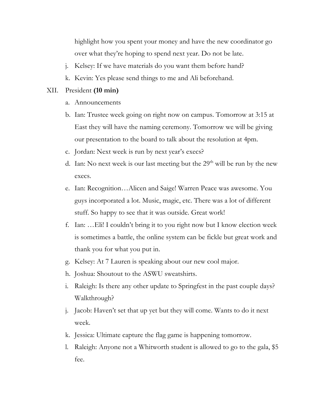highlight how you spent your money and have the new coordinator go over what they're hoping to spend next year. Do not be late.

- j. Kelsey: If we have materials do you want them before hand?
- k. Kevin: Yes please send things to me and Ali beforehand.

#### XII. President **(10 min)**

- a. Announcements
- b. Ian: Trustee week going on right now on campus. Tomorrow at 3:15 at East they will have the naming ceremony. Tomorrow we will be giving our presentation to the board to talk about the resolution at 4pm.
- c. Jordan: Next week is run by next year's execs?
- d. Ian: No next week is our last meeting but the  $29<sup>th</sup>$  will be run by the new execs.
- e. Ian: Recognition…Alicen and Saige! Warren Peace was awesome. You guys incorporated a lot. Music, magic, etc. There was a lot of different stuff. So happy to see that it was outside. Great work!
- f. Ian: …Eli! I couldn't bring it to you right now but I know election week is sometimes a battle, the online system can be fickle but great work and thank you for what you put in.
- g. Kelsey: At 7 Lauren is speaking about our new cool major.
- h. Joshua: Shoutout to the ASWU sweatshirts.
- i. Raleigh: Is there any other update to Springfest in the past couple days? Walkthrough?
- j. Jacob: Haven't set that up yet but they will come. Wants to do it next week.
- k. Jessica: Ultimate capture the flag game is happening tomorrow.
- l. Raleigh: Anyone not a Whitworth student is allowed to go to the gala, \$5 fee.